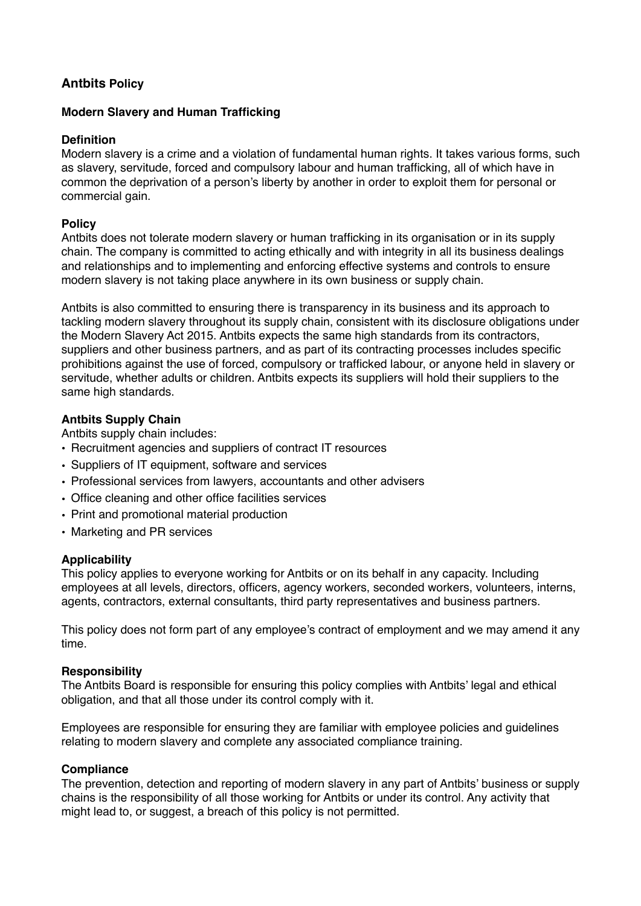# **Antbits Policy**

## **Modern Slavery and Human Trafficking**

### **Definition**

Modern slavery is a crime and a violation of fundamental human rights. It takes various forms, such as slavery, servitude, forced and compulsory labour and human trafficking, all of which have in common the deprivation of a person's liberty by another in order to exploit them for personal or commercial gain.

## **Policy**

Antbits does not tolerate modern slavery or human trafficking in its organisation or in its supply chain. The company is committed to acting ethically and with integrity in all its business dealings and relationships and to implementing and enforcing effective systems and controls to ensure modern slavery is not taking place anywhere in its own business or supply chain.

Antbits is also committed to ensuring there is transparency in its business and its approach to tackling modern slavery throughout its supply chain, consistent with its disclosure obligations under the Modern Slavery Act 2015. Antbits expects the same high standards from its contractors, suppliers and other business partners, and as part of its contracting processes includes specific prohibitions against the use of forced, compulsory or trafficked labour, or anyone held in slavery or servitude, whether adults or children. Antbits expects its suppliers will hold their suppliers to the same high standards.

## **Antbits Supply Chain**

Antbits supply chain includes:

- Recruitment agencies and suppliers of contract IT resources
- Suppliers of IT equipment, software and services
- Professional services from lawyers, accountants and other advisers
- Office cleaning and other office facilities services
- Print and promotional material production
- Marketing and PR services

## **Applicability**

This policy applies to everyone working for Antbits or on its behalf in any capacity. Including employees at all levels, directors, officers, agency workers, seconded workers, volunteers, interns, agents, contractors, external consultants, third party representatives and business partners.

This policy does not form part of any employee's contract of employment and we may amend it any time.

#### **Responsibility**

The Antbits Board is responsible for ensuring this policy complies with Antbits' legal and ethical obligation, and that all those under its control comply with it.

Employees are responsible for ensuring they are familiar with employee policies and guidelines relating to modern slavery and complete any associated compliance training.

#### **Compliance**

The prevention, detection and reporting of modern slavery in any part of Antbits' business or supply chains is the responsibility of all those working for Antbits or under its control. Any activity that might lead to, or suggest, a breach of this policy is not permitted.